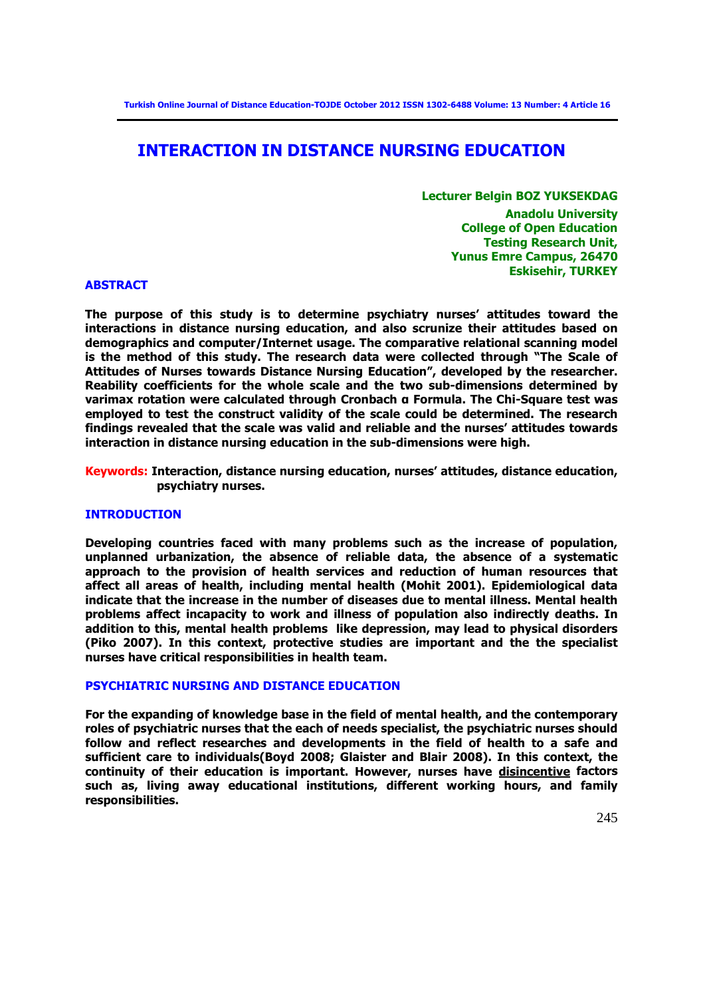# **INTERACTION IN DISTANCE NURSING EDUCATION**

**Lecturer Belgin BOZ YUKSEKDAG Anadolu University College of Open Education Testing Research Unit, Yunus Emre Campus, 26470 Eskisehir, TURKEY**

#### **ABSTRACT**

**The purpose of this study is to determine psychiatry nurses' attitudes toward the interactions in distance nursing education, and also scrunize their attitudes based on demographics and computer/Internet usage. The comparative relational scanning model is the method of this study. The research data were collected through "The Scale of Attitudes of Nurses towards Distance Nursing Education", developed by the researcher. Reability coefficients for the whole scale and the two sub-dimensions determined by varimax rotation were calculated through Cronbach α Formula. The Chi-Square test was employed to test the construct validity of the scale could be determined. The research findings revealed that the scale was valid and reliable and the nurses' attitudes towards interaction in distance nursing education in the sub-dimensions were high.** 

**Keywords: Interaction, distance nursing education, nurses' attitudes, distance education, psychiatry nurses.** 

### **INTRODUCTION**

**Developing countries faced with many problems such as the increase of population, unplanned urbanization, the absence of reliable data, the absence of a systematic approach to the provision of health services and reduction of human resources that affect all areas of health, including mental health (Mohit 2001). Epidemiological data indicate that the increase in the number of diseases due to mental illness. Mental health problems affect incapacity to work and illness of population also indirectly deaths. In addition to this, mental health problems like depression, may lead to physical disorders (Piko 2007). In this context, protective studies are important and the the specialist nurses have critical responsibilities in health team.**

### **PSYCHIATRIC NURSING AND DISTANCE EDUCATION**

**For the expanding of knowledge base in the field of mental health, and the contemporary roles of psychiatric nurses that the each of needs specialist, the psychiatric nurses should follow and reflect researches and developments in the field of health to a safe and sufficient care to individuals(Boyd 2008; Glaister and Blair 2008). In this context, the continuity of their education is important. However, nurses have [disincentive](http://tureng.com/search/disincentive) factors such as, living away educational institutions, different working hours, and family responsibilities.**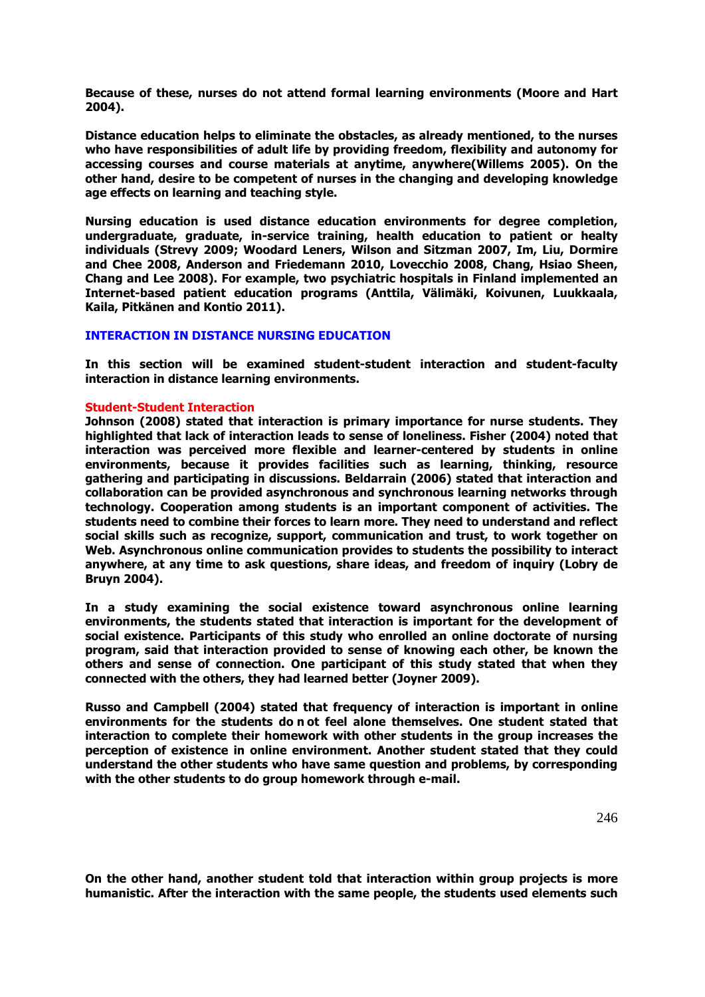**Because of these, nurses do not attend formal learning environments (Moore and Hart 2004).** 

**Distance education helps to eliminate the obstacles, as already mentioned, to the nurses who have responsibilities of adult life by providing freedom, flexibility and autonomy for accessing courses and course materials at anytime, anywhere(Willems 2005). On the other hand, desire to be competent of nurses in the changing and developing knowledge age effects on learning and teaching style.** 

**Nursing education is used distance education environments for degree completion, undergraduate, graduate, in-service training, health education to patient or healty individuals (Strevy 2009; Woodard Leners, Wilson and Sitzman 2007, Im, Liu, Dormire and Chee 2008, Anderson and Friedemann 2010, Lovecchio 2008, Chang, Hsiao Sheen, Chang and Lee 2008). For example, two psychiatric hospitals in Finland implemented an Internet-based patient education programs (Anttila, Välimäki, Koivunen, Luukkaala, Kaila, Pitkänen and Kontio 2011).** 

### **INTERACTION IN DISTANCE NURSING EDUCATION**

**In this section will be examined student-student interaction and student-faculty interaction in distance learning environments.** 

### **Student-Student Interaction**

**Johnson (2008) stated that interaction is primary importance for nurse students. They highlighted that lack of interaction leads to sense of loneliness. Fisher (2004) noted that interaction was perceived more flexible and learner-centered by students in online environments, because it provides facilities such as learning, thinking, resource gathering and participating in discussions. Beldarrain (2006) stated that interaction and collaboration can be provided asynchronous and synchronous learning networks through technology. Cooperation among students is an important component of activities. The students need to combine their forces to learn more. They need to understand and reflect social skills such as recognize, support, communication and trust, to work together on Web. Asynchronous online communication provides to students the possibility to interact anywhere, at any time to ask questions, share ideas, and freedom of inquiry (Lobry de Bruyn 2004).**

**In a study examining the social existence toward asynchronous online learning environments, the students stated that interaction is important for the development of social existence. Participants of this study who enrolled an online doctorate of nursing program, said that interaction provided to sense of knowing each other, be known the others and sense of connection. One participant of this study stated that when they connected with the others, they had learned better (Joyner 2009).** 

**Russo and Campbell (2004) stated that frequency of interaction is important in online environments for the students do n ot feel alone themselves. One student stated that interaction to complete their homework with other students in the group increases the perception of existence in online environment. Another student stated that they could understand the other students who have same question and problems, by corresponding with the other students to do group homework through e-mail.** 

**On the other hand, another student told that interaction within group projects is more humanistic. After the interaction with the same people, the students used elements such**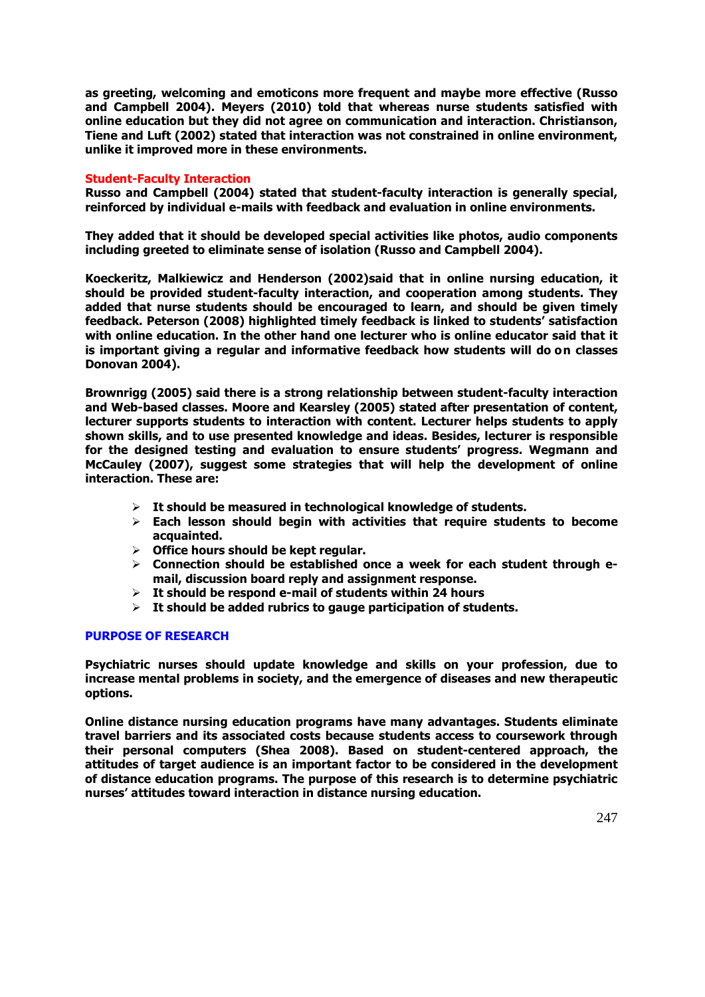**as greeting, welcoming and emoticons more frequent and maybe more effective (Russo and Campbell 2004). Meyers (2010) told that whereas nurse students satisfied with online education but they did not agree on communication and interaction. Christianson, Tiene and Luft (2002) stated that interaction was not constrained in online environment, unlike it improved more in these environments.** 

### **Student-Faculty Interaction**

**Russo and Campbell (2004) stated that student-faculty interaction is generally special, reinforced by individual e-mails with feedback and evaluation in online environments.** 

**They added that it should be developed special activities like photos, audio components including greeted to eliminate sense of isolation (Russo and Campbell 2004).**

**Koeckeritz, Malkiewicz and Henderson (2002)said that in online nursing education, it should be provided student-faculty interaction, and cooperation among students. They added that nurse students should be encouraged to learn, and should be given timely feedback. Peterson (2008) highlighted timely feedback is linked to students' satisfaction with online education. In the other hand one lecturer who is online educator said that it is important giving a regular and informative feedback how students will do on classes Donovan 2004).** 

**Brownrigg (2005) said there is a strong relationship between student-faculty interaction and Web-based classes. Moore and Kearsley (2005) stated after presentation of content, lecturer supports students to interaction with content. Lecturer helps students to apply shown skills, and to use presented knowledge and ideas. Besides, lecturer is responsible for the designed testing and evaluation to ensure students' progress. Wegmann and McCauley (2007), suggest some strategies that will help the development of online interaction. These are:**

- **It should be measured in technological knowledge of students.**
- **Each lesson should begin with activities that require students to become acquainted.**
- **Office hours should be kept regular.**
- **Connection should be established once a week for each student through email, discussion board reply and assignment response.**
- **It should be respond e-mail of students within 24 hours**
- **It should be added rubrics to gauge participation of students.**

### **PURPOSE OF RESEARCH**

**Psychiatric nurses should update knowledge and skills on your profession, due to increase mental problems in society, and the emergence of diseases and new therapeutic options.** 

**Online distance nursing education programs have many advantages. Students eliminate travel barriers and its associated costs because students access to coursework through their personal computers (Shea 2008). Based on student-centered approach, the attitudes of target audience is an important factor to be considered in the development of distance education programs. The purpose of this research is to determine psychiatric nurses' attitudes toward interaction in distance nursing education.**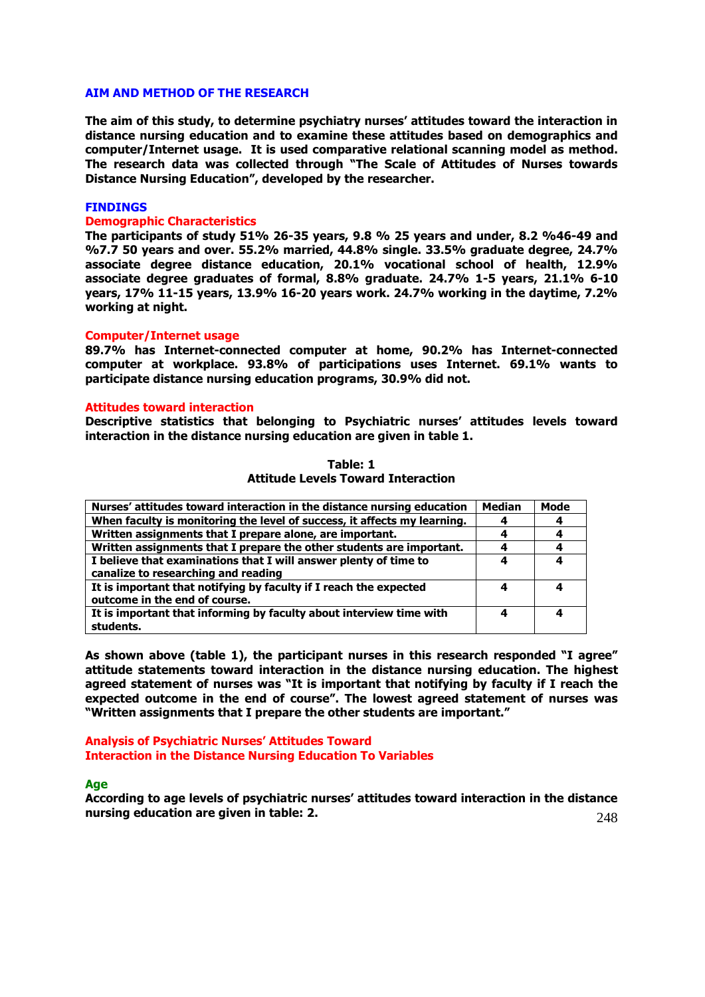#### **AIM AND METHOD OF THE RESEARCH**

**The aim of this study, to determine psychiatry nurses' attitudes toward the interaction in distance nursing education and to examine these attitudes based on demographics and computer/Internet usage. It is used comparative relational scanning model as method. The research data was collected through "The Scale of Attitudes of Nurses towards Distance Nursing Education", developed by the researcher.** 

#### **FINDINGS**

#### **Demographic Characteristics**

**The participants of study 51% 26-35 years, 9.8 % 25 years and under, 8.2 %46-49 and %7.7 50 years and over. 55.2% married, 44.8% single. 33.5% graduate degree, 24.7% associate degree distance education, 20.1% vocational school of health, 12.9% associate degree graduates of formal, 8.8% graduate. 24.7% 1-5 years, 21.1% 6-10 years, 17% 11-15 years, 13.9% 16-20 years work. 24.7% working in the daytime, 7.2% working at night.**

#### **Computer/Internet usage**

**89.7% has Internet-connected computer at home, 90.2% has Internet-connected computer at workplace. 93.8% of participations uses Internet. 69.1% wants to participate distance nursing education programs, 30.9% did not.**

#### **Attitudes toward interaction**

**Descriptive statistics that belonging to Psychiatric nurses' attitudes levels toward interaction in the distance nursing education are given in table 1.**

**Table: 1** 

| <b>Attitude Levels Toward Interaction</b>                |      |
|----------------------------------------------------------|------|
| toward interaction in the distance nursing education     | Medi |
| nonitoring the level of success, it affects my learning. |      |
|                                                          |      |

| Nurses' attitudes toward interaction in the distance nursing education   | Median | Mode |
|--------------------------------------------------------------------------|--------|------|
| When faculty is monitoring the level of success, it affects my learning. |        |      |
| Written assignments that I prepare alone, are important.                 |        | 4    |
| Written assignments that I prepare the other students are important.     |        | 4    |
| I believe that examinations that I will answer plenty of time to         | 4      | 4    |
| canalize to researching and reading                                      |        |      |
| It is important that notifying by faculty if I reach the expected        | 4      | 4    |
| outcome in the end of course.                                            |        |      |
| It is important that informing by faculty about interview time with      | 4      | 4    |
| students.                                                                |        |      |

**As shown above (table 1), the participant nurses in this research responded "I agree" attitude statements toward interaction in the distance nursing education. The highest agreed statement of nurses was "It is important that notifying by faculty if I reach the expected outcome in the end of course". The lowest agreed statement of nurses was "Written assignments that I prepare the other students are important."**

**Analysis of Psychiatric Nurses' Attitudes Toward Interaction in the Distance Nursing Education To Variables**

#### **Age**

248 **According to age levels of psychiatric nurses' attitudes toward interaction in the distance nursing education are given in table: 2.**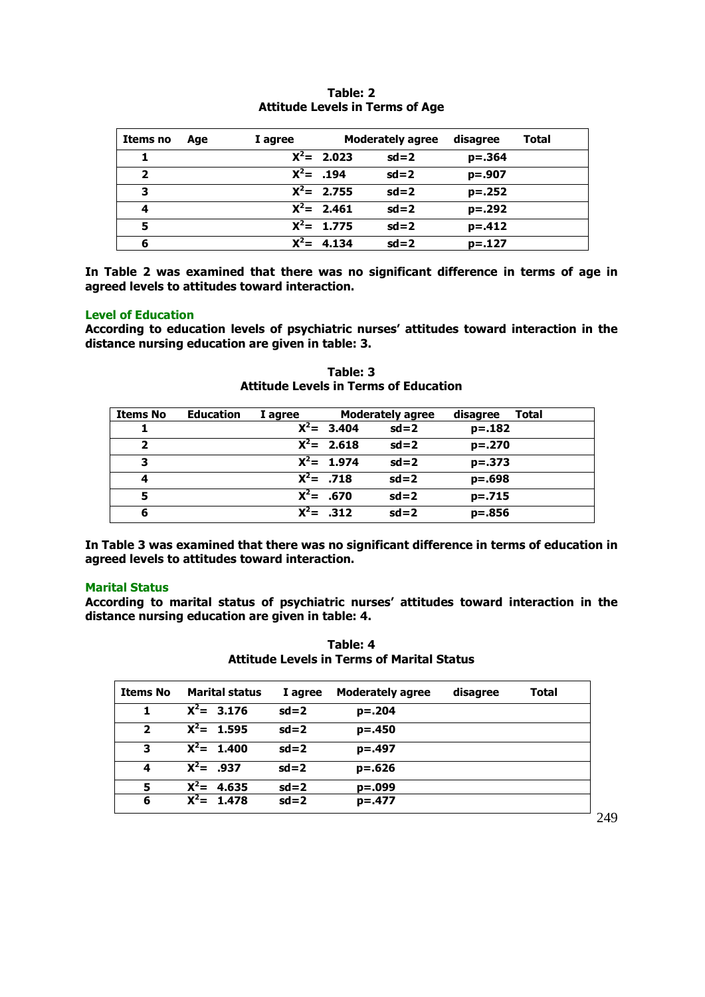| Items no                | Age | I agree |               | <b>Moderately agree</b> | disagree   | Total |
|-------------------------|-----|---------|---------------|-------------------------|------------|-------|
|                         |     |         | $X^2$ = 2.023 | $sd = 2$                | $p=.364$   |       |
| $\overline{\mathbf{2}}$ |     |         | $X^2 = .194$  | $sd = 2$                | $p=.907$   |       |
| 3                       |     |         | $X^2 = 2.755$ | $sd=2$                  | $p=.252$   |       |
| 4                       |     |         | $X^2 = 2.461$ | $sd = 2$                | $p = .292$ |       |
| 5                       |     |         | $X^2$ = 1.775 | $sd = 2$                | $p = .412$ |       |
| 6                       |     | $X^2 =$ | 4.134         | $sd = 2$                | $p=.127$   |       |

# **Table: 2 Attitude Levels in Terms of Age**

**In Table 2 was examined that there was no significant difference in terms of age in agreed levels to attitudes toward interaction.**

### **Level of Education**

**According to education levels of psychiatric nurses' attitudes toward interaction in the distance nursing education are given in table: 3.**

| <b>Items No</b> | <b>Education</b> | I agree |               | <b>Moderately agree</b> | disagree    | Total |
|-----------------|------------------|---------|---------------|-------------------------|-------------|-------|
|                 |                  |         | $X^2$ = 3.404 | $sd=2$                  | $p=.182$    |       |
| 2               |                  |         | $X^2$ = 2.618 | $sd=2$                  | $p=.270$    |       |
| 3               |                  |         | $X^2$ = 1.974 | $sd=2$                  | $p = 0.373$ |       |
| 4               |                  |         | $X^2$ = .718  | $sd=2$                  | $p=.698$    |       |
| 5               |                  |         | $X^2$ = .670  | $sd=2$                  | $p=.715$    |       |
| 6               |                  |         | $X^2 = .312$  | $sd=2$                  | $p=.856$    |       |

**Table: 3 Attitude Levels in Terms of Education**

**In Table 3 was examined that there was no significant difference in terms of education in agreed levels to attitudes toward interaction.**

#### **Marital Status**

**According to marital status of psychiatric nurses' attitudes toward interaction in the distance nursing education are given in table: 4.**

| Table: 4                                          |  |  |  |  |  |
|---------------------------------------------------|--|--|--|--|--|
| <b>Attitude Levels in Terms of Marital Status</b> |  |  |  |  |  |

| <b>Items No</b> | <b>Marital status</b> | I agree | <b>Moderately agree</b> | disagree | <b>Total</b> |
|-----------------|-----------------------|---------|-------------------------|----------|--------------|
| 1               | $X^2$ = 3.176         | $sd=2$  | $p=.204$                |          |              |
| $\overline{2}$  | $X^2$ = 1.595         | $sd=2$  | $p=.450$                |          |              |
| 3               | $X^2 = 1.400$         | $sd=2$  | $p=.497$                |          |              |
| 4               | $X^2 = 0.937$         | $sd=2$  | $p=.626$                |          |              |
| 5               | $X^2$ = 4.635         | $sd=2$  | $p = .099$              |          |              |
| 6               | $X^2$ = 1.478         | $sd=2$  | $p=.477$                |          |              |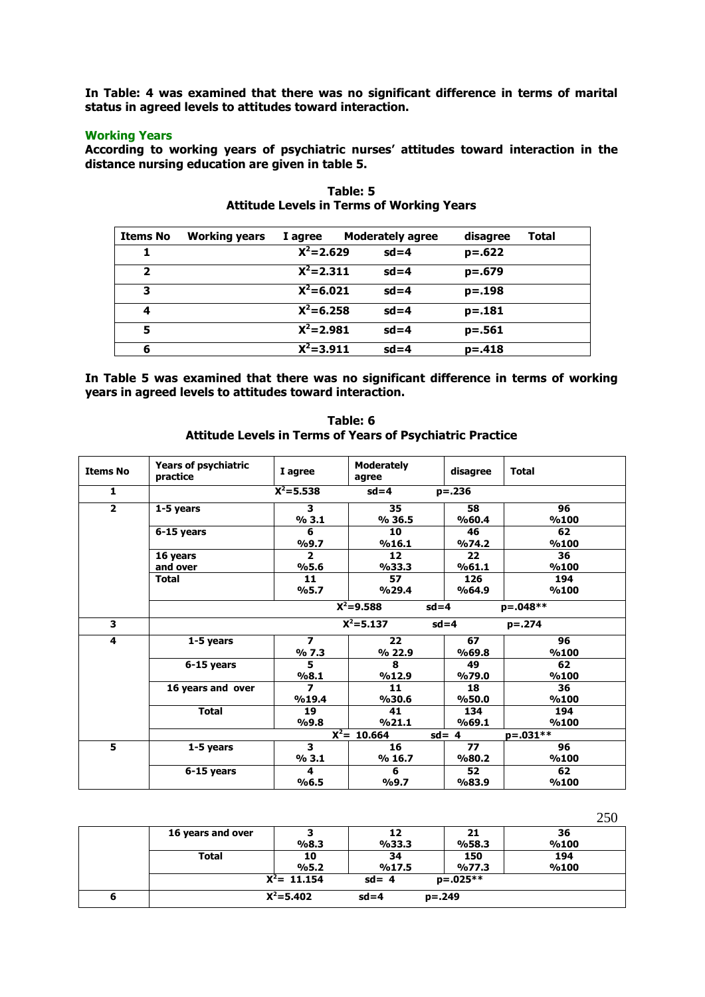**In Table: 4 was examined that there was no significant difference in terms of marital status in agreed levels to attitudes toward interaction.**

### **Working Years**

**According to working years of psychiatric nurses' attitudes toward interaction in the distance nursing education are given in table 5.**

| <b>Items No</b>         | <b>Working years</b> | I agree       | <b>Moderately agree</b> | disagree   | <b>Total</b> |
|-------------------------|----------------------|---------------|-------------------------|------------|--------------|
|                         |                      | $X^2 = 2.629$ | $sd = 4$                | $p=.622$   |              |
| $\overline{\mathbf{2}}$ |                      | $X^2 = 2.311$ | $sd = 4$                | $p=.679$   |              |
| 3                       |                      | $X^2 = 6.021$ | $sd = 4$                | $p=.198$   |              |
| 4                       |                      | $X^2 = 6.258$ | $sd = 4$                | $p = .181$ |              |
| 5                       |                      | $X^2 = 2.981$ | $sd = 4$                | $p = .561$ |              |
| 6                       |                      | $X^2 = 3.911$ | $sd = 4$                | $p = .418$ |              |

**Table: 5 Attitude Levels in Terms of Working Years**

**In Table 5 was examined that there was no significant difference in terms of working years in agreed levels to attitudes toward interaction.**

| <b>Items No</b> | <b>Years of psychiatric</b><br>practice | I agree                          | <b>Moderately</b><br>agree | disagree      | <b>Total</b> |
|-----------------|-----------------------------------------|----------------------------------|----------------------------|---------------|--------------|
| $\mathbf{1}$    |                                         | $X^2 = 5.538$                    | $sd = 4$                   | $p = .236$    |              |
| $\overline{2}$  | 1-5 years                               | 3<br>% 3.1                       | 35<br>% 36.5               | 58<br>%60.4   | 96<br>%100   |
|                 | 6-15 years                              | 6<br>%9.7                        | 10<br>%16.1                | 46<br>9/074.2 | 62<br>%100   |
|                 | 16 years<br>and over                    | $\overline{2}$<br>%5.6           | 12<br>%33.3                | 22<br>%61.1   | 36<br>%100   |
|                 | <b>Total</b>                            | 11<br>%5.7                       | 57<br>%29.4                | 126<br>%64.9  | 194<br>%100  |
|                 |                                         |                                  | $X^2 = 9.588$              | $sd = 4$      | $p=.048**$   |
| 3               |                                         |                                  | $X^2 = 5.137$              | $sd = 4$      | $p = .274$   |
| 4               | 1-5 years                               | $\overline{\mathbf{z}}$<br>% 7.3 | 22<br>% 22.9               | 67<br>%69.8   | 96<br>%100   |
|                 | 6-15 years                              | 5<br>%8.1                        | 8<br>%12.9                 | 49<br>9/079.0 | 62<br>%100   |
|                 | 16 years and over                       | 7<br>%19.4                       | 11<br>%30.6                | 18<br>%50.0   | 36<br>%100   |
|                 | <b>Total</b>                            | 19<br>%9.8                       | 41<br>%21.1                | 134<br>%69.1  | 194<br>%100  |
|                 |                                         |                                  | $\overline{X^2}$ = 10.664  | $sd = 4$      | $p=.031**$   |
| 5               | 1-5 years                               | 3<br>% 3.1                       | 16<br>% 16.7               | 77<br>%80.2   | 96<br>%100   |
|                 | 6-15 years                              | 4<br>%6.5                        | 6<br>9/09.7                | 52<br>%83.9   | 62<br>%100   |

**Table: 6 Attitude Levels in Terms of Years of Psychiatric Practice**

|   | 16 years and over |                | 12       | 21         | 36   |
|---|-------------------|----------------|----------|------------|------|
|   |                   | %8.3           | %33.3    | %58.3      | %100 |
|   | <b>Total</b>      | 10             | 34       | 150        | 194  |
|   |                   | %5.2           | %17.5    | 9/677.3    | %100 |
|   |                   | $X^2$ = 11.154 | $sd = 4$ | $p=.025**$ |      |
| 6 |                   | $X^2 = 5.402$  | $sd = 4$ | $p = 249$  |      |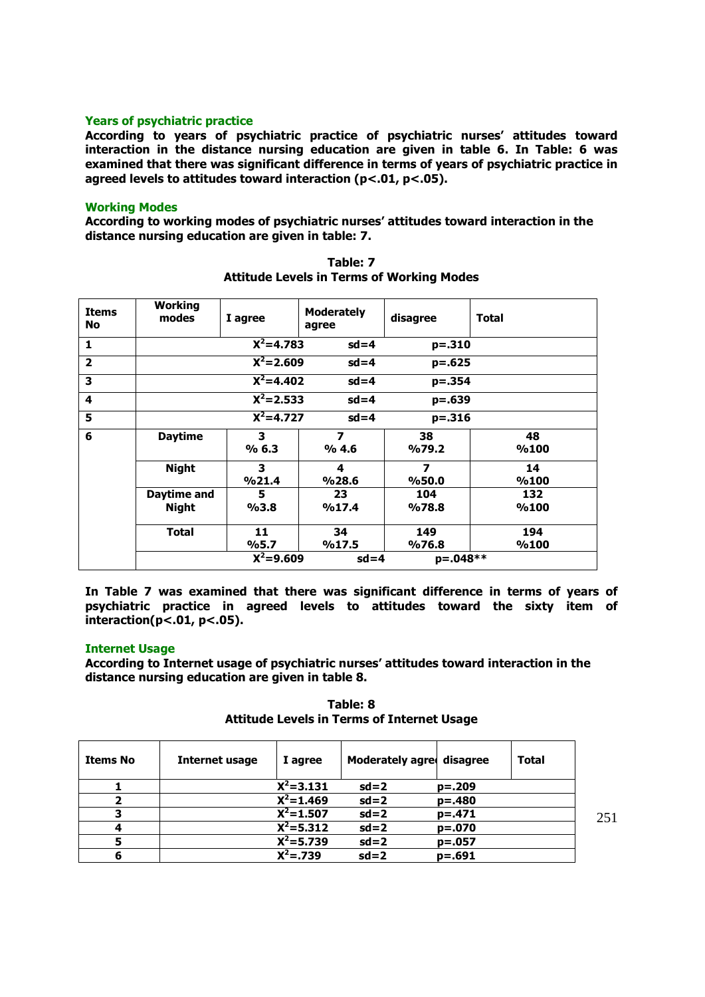## **Years of psychiatric practice**

**According to years of psychiatric practice of psychiatric nurses' attitudes toward interaction in the distance nursing education are given in table 6. In Table: 6 was examined that there was significant difference in terms of years of psychiatric practice in agreed levels to attitudes toward interaction (p<.01, p<.05).**

### **Working Modes**

**According to working modes of psychiatric nurses' attitudes toward interaction in the distance nursing education are given in table: 7.**

| <b>Items</b><br><b>No</b> | Working<br>modes | I agree                 | <b>Moderately</b><br>agree | disagree                | <b>Total</b> |
|---------------------------|------------------|-------------------------|----------------------------|-------------------------|--------------|
| 1                         |                  | $X^2 = 4.783$           | $sd = 4$                   | p=.310                  |              |
| $\overline{\mathbf{2}}$   |                  | $X^2 = 2.609$           | $sd = 4$                   | $p=.625$                |              |
| 3                         |                  | $\overline{X^2}$ =4.402 | $sd = 4$                   | p=.354                  |              |
| $\overline{\mathbf{4}}$   |                  | $X^2 = 2.533$           | $sd = 4$                   | p=.639                  |              |
| 5                         |                  | $X^2 = 4.727$           | $sd = 4$                   | $p = .316$              |              |
| 6                         | <b>Daytime</b>   | 3                       | $\overline{\mathbf{z}}$    | 38                      | 48           |
|                           |                  | % 6.3                   | %4.6                       | 9/679.2                 | %100         |
|                           | <b>Night</b>     | 3                       | 4                          | $\overline{\mathbf{z}}$ | 14           |
|                           |                  | %21.4                   | %28.6                      | %50.0                   | %100         |
|                           | Daytime and      | 5                       | 23                         | 104                     | 132          |
|                           | <b>Night</b>     | %3.8                    | %17.4                      | %78.8                   | %100         |
|                           | <b>Total</b>     | 11                      | 34                         | 149                     | 194          |
|                           |                  | %5.7                    | %17.5                      | %76.8                   | %100         |
|                           |                  | $X^2 = 9.609$           | $sd = 4$                   | p=.048**                |              |

**Table: 7 Attitude Levels in Terms of Working Modes**

**In Table 7 was examined that there was significant difference in terms of years of psychiatric practice in agreed levels to attitudes toward the sixty item of interaction(p<.01, p<.05).**

### **Internet Usage**

**According to Internet usage of psychiatric nurses' attitudes toward interaction in the distance nursing education are given in table 8.**

| <b>Items No</b> | <b>Internet usage</b> | I agree                | <b>Moderately agree</b> | disagree   | <b>Total</b> |
|-----------------|-----------------------|------------------------|-------------------------|------------|--------------|
|                 |                       | $X^2 = 3.131$          | $sd=2$                  | $p=.209$   |              |
|                 |                       | $X^2 = 1.469$          | $sd=2$                  | $p = .480$ |              |
|                 |                       | $\overline{X^2=1.507}$ | $sd = 2$                | $p=.471$   |              |
|                 |                       | $X^2 = 5.312$          | $sd=2$                  | $p=.070$   |              |
| 5               |                       | $X^2 = 5.739$          | $sd=2$                  | $p=.057$   |              |
| 6               |                       | $X^2 = 0.739$          | $sd=2$                  | $p = .691$ |              |

**Table: 8 Attitude Levels in Terms of Internet Usage**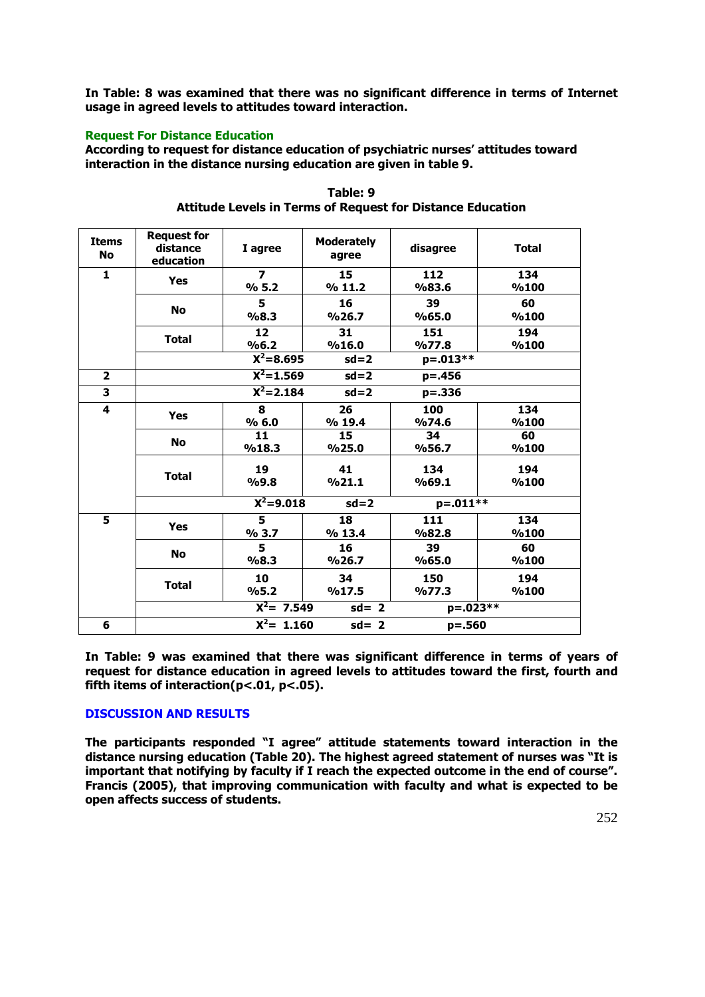**In Table: 8 was examined that there was no significant difference in terms of Internet usage in agreed levels to attitudes toward interaction.**

## **Request For Distance Education**

**According to request for distance education of psychiatric nurses' attitudes toward interaction in the distance nursing education are given in table 9.**

| <b>Items</b><br><b>No</b> | <b>Request for</b><br>distance<br>education | I agree                           | <b>Moderately</b><br>agree | disagree       | <b>Total</b> |
|---------------------------|---------------------------------------------|-----------------------------------|----------------------------|----------------|--------------|
| 1                         | <b>Yes</b>                                  | $\overline{\phantom{a}}$<br>% 5.2 | 15<br>%11.2                | 112<br>%83.6   | 134<br>%100  |
|                           | <b>No</b>                                   | 5<br>%8.3                         | 16<br>%26.7                | 39<br>%65.0    | 60<br>%100   |
|                           | <b>Total</b>                                | 12<br>%6.2                        | 31<br>%16.0                | 151<br>9/677.8 | 194<br>%100  |
|                           |                                             | $X^2 = 8.695$                     | $sd=2$                     | p=.013**       |              |
| $\overline{2}$            |                                             | $\overline{X^2}$ =1.569           | $sd = 2$                   | $p = .456$     |              |
| $\overline{\mathbf{3}}$   |                                             | $X^2 = 2.184$                     | $sd=2$                     | $p = .336$     |              |
| 4                         |                                             | 8                                 | 26                         | 100            | 134          |
|                           | <b>Yes</b>                                  | % 6.0                             | % 19.4                     | %74.6          | %100         |
|                           |                                             | 11                                | 15                         | 34             | 60           |
|                           | <b>No</b>                                   | %18.3                             | %25.0                      | %56.7          | %100         |
|                           | <b>Total</b>                                | 19                                | 41                         | 134            | 194          |
|                           |                                             | %9.8                              | %21.1                      | %69.1          | %100         |
|                           |                                             | $\overline{X^2} = 9.018$          | $sd = 2$                   | $p=.011**$     |              |
| 5                         | <b>Yes</b>                                  | 5                                 | 18                         | 111            | 134          |
|                           |                                             | % 3.7                             | % 13.4                     | %82.8          | %100         |
|                           |                                             | 5                                 | 16                         | 39             | 60           |
|                           | <b>No</b>                                   | %8.3                              | %26.7                      | %65.0          | %100         |
|                           |                                             | 10                                | 34                         | 150            | 194          |
|                           | <b>Total</b>                                | %5.2                              | %17.5                      | 9/677.3        | %100         |
|                           |                                             | $\overline{X^2}$ = 7.549          | $sd = 2$                   | $p=.023**$     |              |
| 6                         |                                             | $\overline{X^2}$ = 1.160          | $sd = 2$                   | $p = .560$     |              |

**Table: 9 Attitude Levels in Terms of Request for Distance Education**

**In Table: 9 was examined that there was significant difference in terms of years of request for distance education in agreed levels to attitudes toward the first, fourth and fifth items of interaction(p<.01, p<.05).**

# **DISCUSSION AND RESULTS**

**The participants responded "I agree" attitude statements toward interaction in the distance nursing education (Table 20). The highest agreed statement of nurses was "It is important that notifying by faculty if I reach the expected outcome in the end of course". Francis (2005), that improving communication with faculty and what is expected to be open affects success of students.**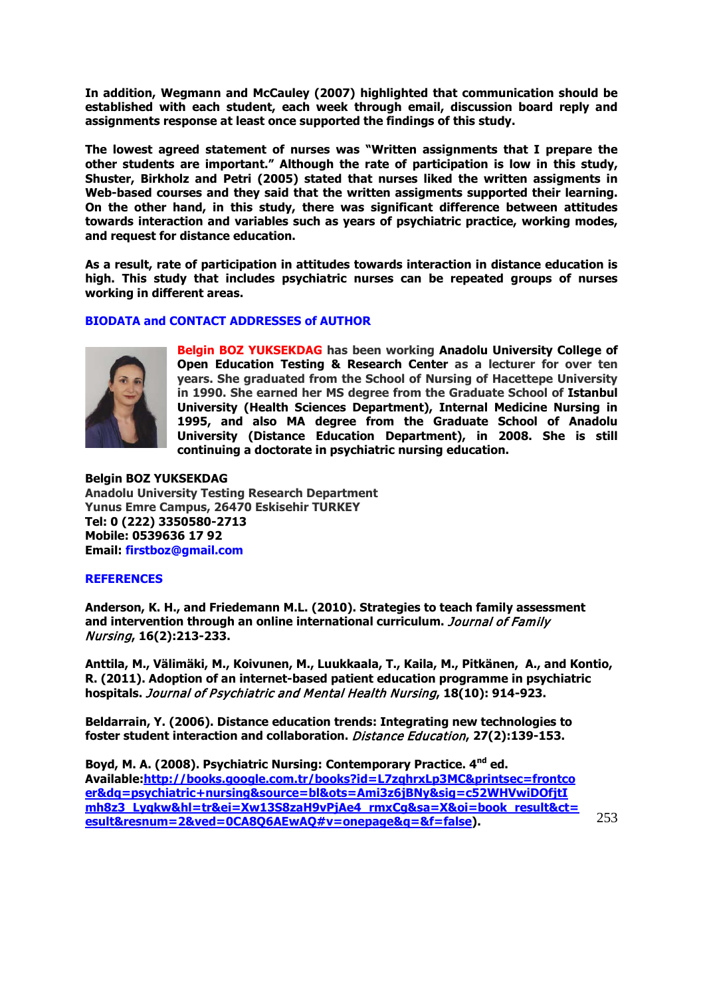**In addition, Wegmann and McCauley (2007) highlighted that communication should be established with each student, each week through email, discussion board reply and assignments response at least once supported the findings of this study.** 

**The lowest agreed statement of nurses was "Written assignments that I prepare the other students are important." Although the rate of participation is low in this study, Shuster, Birkholz and Petri (2005) stated that nurses liked the written assigments in Web-based courses and they said that the written assigments supported their learning. On the other hand, in this study, there was significant difference between attitudes towards interaction and variables such as years of psychiatric practice, working modes, and request for distance education.** 

**As a result, rate of participation in attitudes towards interaction in distance education is high. This study that includes psychiatric nurses can be repeated groups of nurses working in different areas.**

### **BIODATA and CONTACT ADDRESSES of AUTHOR**



**Belgin BOZ YUKSEKDAG has been working Anadolu University College of Open Education Testing & Research Center as a lecturer for over ten years. She graduated from the School of Nursing of Hacettepe University in 1990. She earned her MS degree from the Graduate School of Istanbul University (Health Sciences Department), Internal Medicine Nursing in 1995, and also MA degree from the Graduate School of Anadolu University (Distance Education Department), in 2008. She is still continuing a doctorate in psychiatric nursing education.** 

**Belgin BOZ YUKSEKDAG Anadolu University Testing Research Department Yunus Emre Campus, 26470 Eskisehir TURKEY Tel: 0 (222) 3350580-2713 Mobile: 0539636 17 92 Email: firstboz@gmail.com**

#### **REFERENCES**

**Anderson, K. H., and Friedemann M.L. (2010). Strategies to teach family assessment and intervention through an online international curriculum.** Journal of Family Nursing**, 16(2):213-233.**

**Anttila, M., Välimäki, M., Koivunen, M., Luukkaala, T., Kaila, M., Pitkänen, A., and Kontio, R. (2011). Adoption of an internet-based patient education programme in psychiatric hospitals.** Journal of Psychiatric and Mental Health Nursing**, 18(10): 914-923.**

**Beldarrain, Y. (2006). Distance education trends: Integrating new technologies to foster student interaction and collaboration.** Distance Education**, 27(2):139-153.**

**Boyd, M. A. (2008). Psychiatric Nursing: Contemporary Practice. 4nd ed. Available[:http://books.google.com.tr/books?id=L7zqhrxLp3MC&printsec=frontco](http://books.google.com.tr/books?id=L7zqhrxLp3MC&printsec=frontcoer&dq=psychiatric+nursing&source=bl&ots=Ami3z6jBNy&sig=c52WHVwiDOfjtImh8z3_Lyqkw&hl=tr&ei=Xw13S8zaH9vPjAe4_rmxCg&sa=X&oi=book_result&ct=esult&resnum=2&ved=0CA8Q6AEwAQ#v=onepage&q=&f=false) [er&dq=psychiatric+nursing&source=bl&ots=Ami3z6jBNy&sig=c52WHVwiDOfjtI](http://books.google.com.tr/books?id=L7zqhrxLp3MC&printsec=frontcoer&dq=psychiatric+nursing&source=bl&ots=Ami3z6jBNy&sig=c52WHVwiDOfjtImh8z3_Lyqkw&hl=tr&ei=Xw13S8zaH9vPjAe4_rmxCg&sa=X&oi=book_result&ct=esult&resnum=2&ved=0CA8Q6AEwAQ#v=onepage&q=&f=false) [mh8z3\\_Lyqkw&hl=tr&ei=Xw13S8zaH9vPjAe4\\_rmxCg&sa=X&oi=book\\_result&ct=](http://books.google.com.tr/books?id=L7zqhrxLp3MC&printsec=frontcoer&dq=psychiatric+nursing&source=bl&ots=Ami3z6jBNy&sig=c52WHVwiDOfjtImh8z3_Lyqkw&hl=tr&ei=Xw13S8zaH9vPjAe4_rmxCg&sa=X&oi=book_result&ct=esult&resnum=2&ved=0CA8Q6AEwAQ#v=onepage&q=&f=false) [esult&resnum=2&ved=0CA8Q6AEwAQ#v=onepage&q=&f=false\)](http://books.google.com.tr/books?id=L7zqhrxLp3MC&printsec=frontcoer&dq=psychiatric+nursing&source=bl&ots=Ami3z6jBNy&sig=c52WHVwiDOfjtImh8z3_Lyqkw&hl=tr&ei=Xw13S8zaH9vPjAe4_rmxCg&sa=X&oi=book_result&ct=esult&resnum=2&ved=0CA8Q6AEwAQ#v=onepage&q=&f=false).**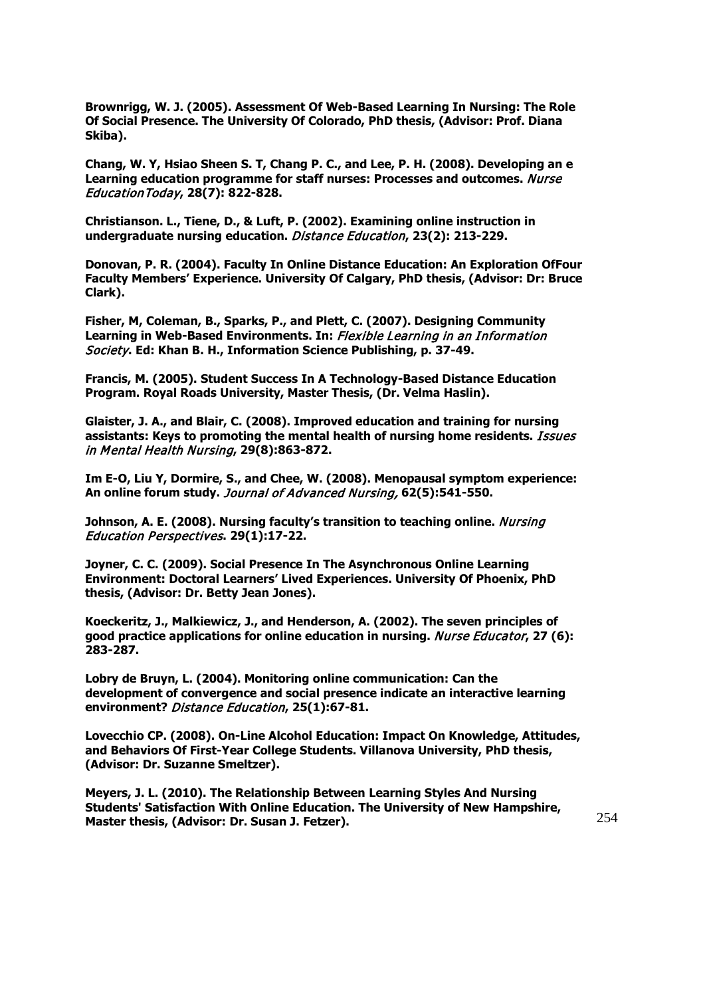**Brownrigg, W. J. (2005). Assessment Of Web-Based Learning In Nursing: The Role Of Social Presence. The University Of Colorado, PhD thesis, (Advisor: Prof. Diana Skiba).**

**Chang, W. Y, Hsiao Sheen S. T, Chang P. C., and Lee, P. H. (2008). Developing an e Learning education programme for staff nurses: Processes and outcomes.** Nurse EducationToday**, 28(7): 822-828.**

**Christianson. L., Tiene, D., & Luft, P. (2002). Examining online instruction in undergraduate nursing education.** Distance Education**, 23(2): 213-229.**

**Donovan, P. R. (2004). Faculty In Online Distance Education: An Exploration OfFour Faculty Members' Experience. University Of Calgary, PhD thesis, (Advisor: Dr: Bruce Clark).** 

**Fisher, M, Coleman, B., Sparks, P., and Plett, C. (2007). Designing Community Learning in Web-Based Environments. In:** Flexible Learning in an Information Society**. Ed: Khan B. H., Information Science Publishing, p. 37-49.**

**Francis, M. (2005). Student Success In A Technology-Based Distance Education Program. Royal Roads University, Master Thesis, (Dr. Velma Haslin).**

**Glaister, J. A., and Blair, C. (2008). Improved education and training for nursing assistants: Keys to promoting the mental health of nursing home residents.** Issues in Mental Health Nursing**, 29(8):863-872.**

**Im E-O, Liu Y, Dormire, S., and Chee, W. (2008). Menopausal symptom experience: An online forum study.** Journal of Advanced Nursing, **62(5):541-550.**

**Johnson, A. E. (2008). Nursing faculty's transition to teaching online.** *Nursing* Education Perspectives**. 29(1):17-22.**

**Joyner, C. C. (2009). Social Presence In The Asynchronous Online Learning Environment: Doctoral Learners' Lived Experiences. University Of Phoenix, PhD thesis, (Advisor: Dr. Betty Jean Jones).**

**Koeckeritz, J., Malkiewicz, J., and Henderson, A. (2002). The seven principles of good practice applications for online education in nursing.** Nurse Educator**, 27 (6): 283-287.**

**Lobry de Bruyn, L. (2004). Monitoring online communication: Can the development of convergence and social presence indicate an interactive learning environment?** Distance Education**, 25(1):67-81.**

**Lovecchio CP. (2008). On-Line Alcohol Education: Impact On Knowledge, Attitudes, and Behaviors Of First-Year College Students. Villanova University, PhD thesis, (Advisor: Dr. Suzanne Smeltzer).**

**Meyers, J. L. (2010). The Relationship Between Learning Styles And Nursing Students' Satisfaction With Online Education. The University of New Hampshire, Master thesis, (Advisor: Dr. Susan J. Fetzer).**